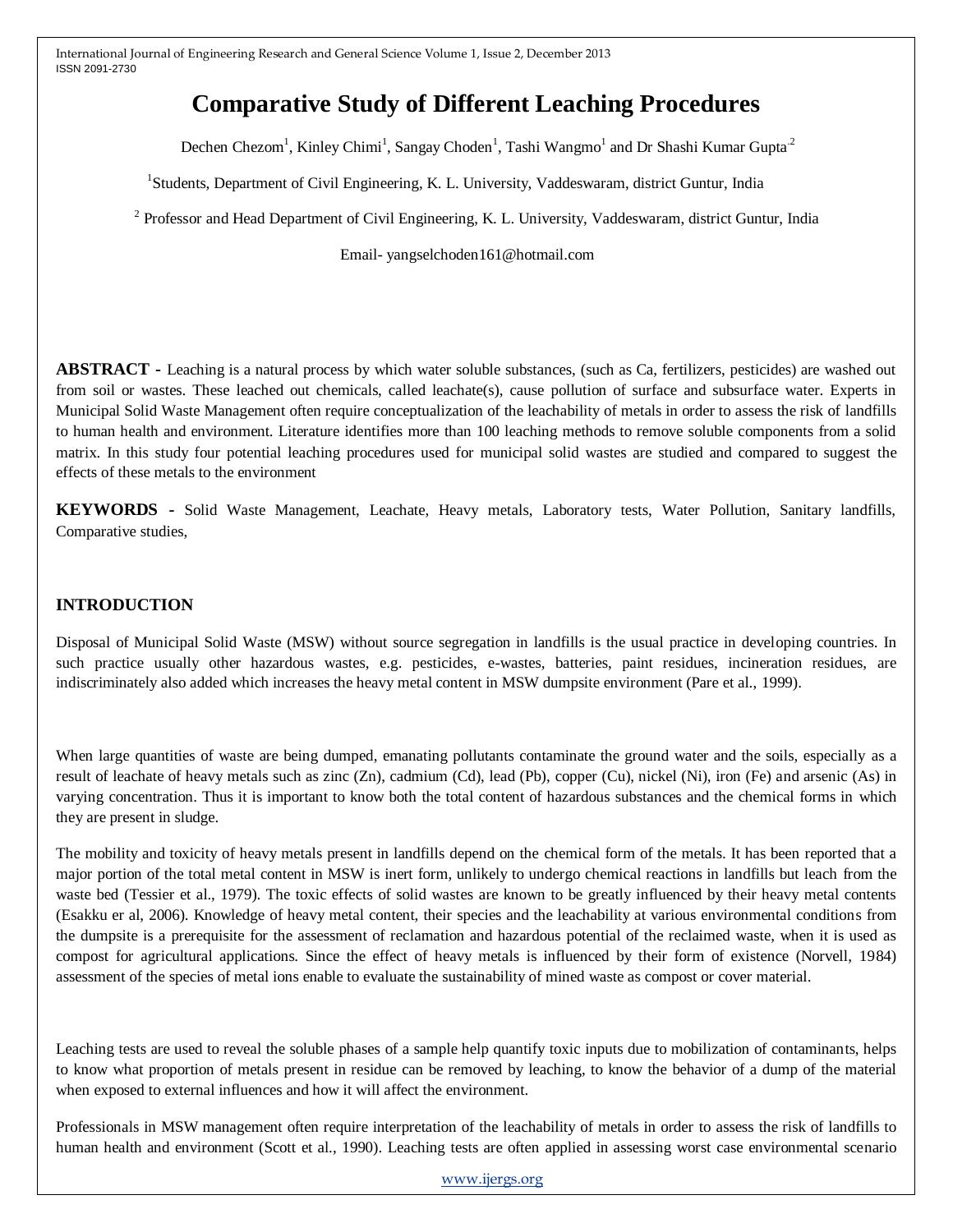# **Comparative Study of Different Leaching Procedures**

Dechen Chezom<sup>1</sup>, Kinley Chimi<sup>1</sup>, Sangay Choden<sup>1</sup>, Tashi Wangmo<sup>1</sup> and Dr Shashi Kumar Gupta<sup>2</sup>

 1 <sup>1</sup>Students, Department of Civil Engineering, K. L. University, Vaddeswaram, district Guntur, India

 2 <sup>2</sup> Professor and Head Department of Civil Engineering, K. L. University, Vaddeswaram, district Guntur, India

Email- yangselchoden161@hotmail.com

**ABSTRACT -** Leaching is a natural process by which water soluble substances, (such as Ca, fertilizers, pesticides) are washed out from soil or wastes. These leached out chemicals, called leachate(s), cause pollution of surface and subsurface water. Experts in Municipal Solid Waste Management often require conceptualization of the leachability of metals in order to assess the risk of landfills to human health and environment. Literature identifies more than 100 leaching methods to remove soluble components from a solid matrix. In this study four potential leaching procedures used for municipal solid wastes are studied and compared to suggest the effects of these metals to the environment

**KEYWORDS -** Solid Waste Management, Leachate, Heavy metals, Laboratory tests, Water Pollution, Sanitary landfills, Comparative studies,

## **INTRODUCTION**

Disposal of Municipal Solid Waste (MSW) without source segregation in landfills is the usual practice in developing countries. In such practice usually other hazardous wastes, e.g. pesticides, e-wastes, batteries, paint residues, incineration residues, are indiscriminately also added which increases the heavy metal content in MSW dumpsite environment (Pare et al., 1999).

When large quantities of waste are being dumped, emanating pollutants contaminate the ground water and the soils, especially as a result of leachate of heavy metals such as zinc (Zn), cadmium (Cd), lead (Pb), copper (Cu), nickel (Ni), iron (Fe) and arsenic (As) in varying concentration. Thus it is important to know both the total content of hazardous substances and the chemical forms in which they are present in sludge.

The mobility and toxicity of heavy metals present in landfills depend on the chemical form of the metals. It has been reported that a major portion of the total metal content in MSW is inert form, unlikely to undergo chemical reactions in landfills but leach from the waste bed (Tessier et al., 1979). The toxic effects of solid wastes are known to be greatly influenced by their heavy metal contents (Esakku er al, 2006). Knowledge of heavy metal content, their species and the leachability at various environmental conditions from the dumpsite is a prerequisite for the assessment of reclamation and hazardous potential of the reclaimed waste, when it is used as compost for agricultural applications. Since the effect of heavy metals is influenced by their form of existence (Norvell, 1984) assessment of the species of metal ions enable to evaluate the sustainability of mined waste as compost or cover material.

Leaching tests are used to reveal the soluble phases of a sample help quantify toxic inputs due to mobilization of contaminants, helps to know what proportion of metals present in residue can be removed by leaching, to know the behavior of a dump of the material when exposed to external influences and how it will affect the environment.

Professionals in MSW management often require interpretation of the leachability of metals in order to assess the risk of landfills to human health and environment (Scott et al., 1990). Leaching tests are often applied in assessing worst case environmental scenario

[www.ijergs.org](http://www.ijergs.org/)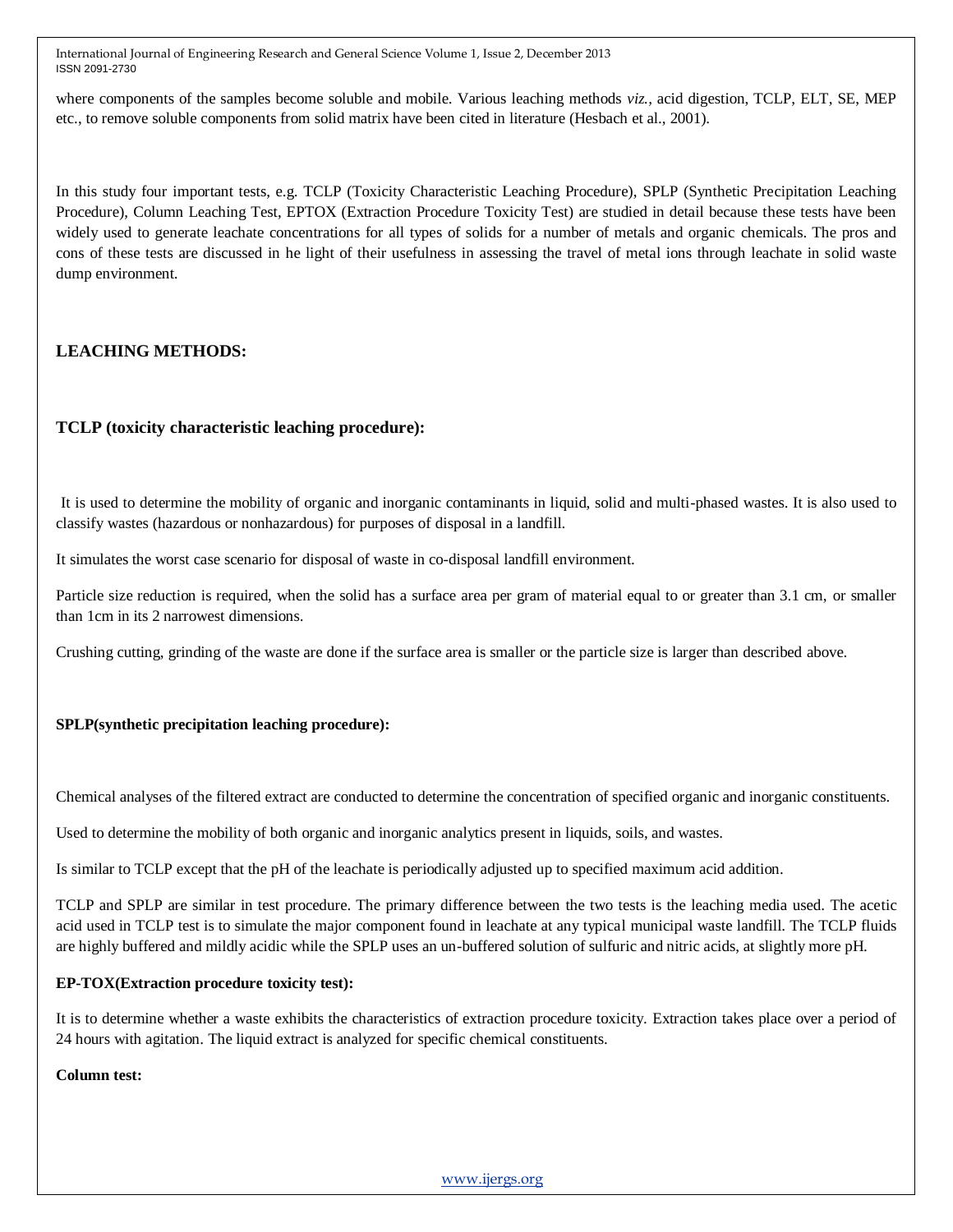where components of the samples become soluble and mobile. Various leaching methods *viz.,* acid digestion, TCLP, ELT, SE, MEP etc., to remove soluble components from solid matrix have been cited in literature (Hesbach et al., 2001).

In this study four important tests, e.g. TCLP (Toxicity Characteristic Leaching Procedure), SPLP (Synthetic Precipitation Leaching Procedure), Column Leaching Test, EPTOX (Extraction Procedure Toxicity Test) are studied in detail because these tests have been widely used to generate leachate concentrations for all types of solids for a number of metals and organic chemicals. The pros and cons of these tests are discussed in he light of their usefulness in assessing the travel of metal ions through leachate in solid waste dump environment.

# **LEACHING METHODS:**

# **TCLP (toxicity characteristic leaching procedure):**

It is used to determine the mobility of organic and inorganic contaminants in liquid, solid and multi-phased wastes. It is also used to classify wastes (hazardous or nonhazardous) for purposes of disposal in a landfill.

It simulates the worst case scenario for disposal of waste in co-disposal landfill environment.

Particle size reduction is required, when the solid has a surface area per gram of material equal to or greater than 3.1 cm, or smaller than 1cm in its 2 narrowest dimensions.

Crushing cutting, grinding of the waste are done if the surface area is smaller or the particle size is larger than described above.

## **SPLP(synthetic precipitation leaching procedure):**

Chemical analyses of the filtered extract are conducted to determine the concentration of specified organic and inorganic constituents.

Used to determine the mobility of both organic and inorganic analytics present in liquids, soils, and wastes.

Is similar to TCLP except that the pH of the leachate is periodically adjusted up to specified maximum acid addition.

TCLP and SPLP are similar in test procedure. The primary difference between the two tests is the leaching media used. The acetic acid used in TCLP test is to simulate the major component found in leachate at any typical municipal waste landfill. The TCLP fluids are highly buffered and mildly acidic while the SPLP uses an un-buffered solution of sulfuric and nitric acids, at slightly more pH.

#### **EP-TOX(Extraction procedure toxicity test):**

It is to determine whether a waste exhibits the characteristics of extraction procedure toxicity. Extraction takes place over a period of 24 hours with agitation. The liquid extract is analyzed for specific chemical constituents.

#### **Column test:**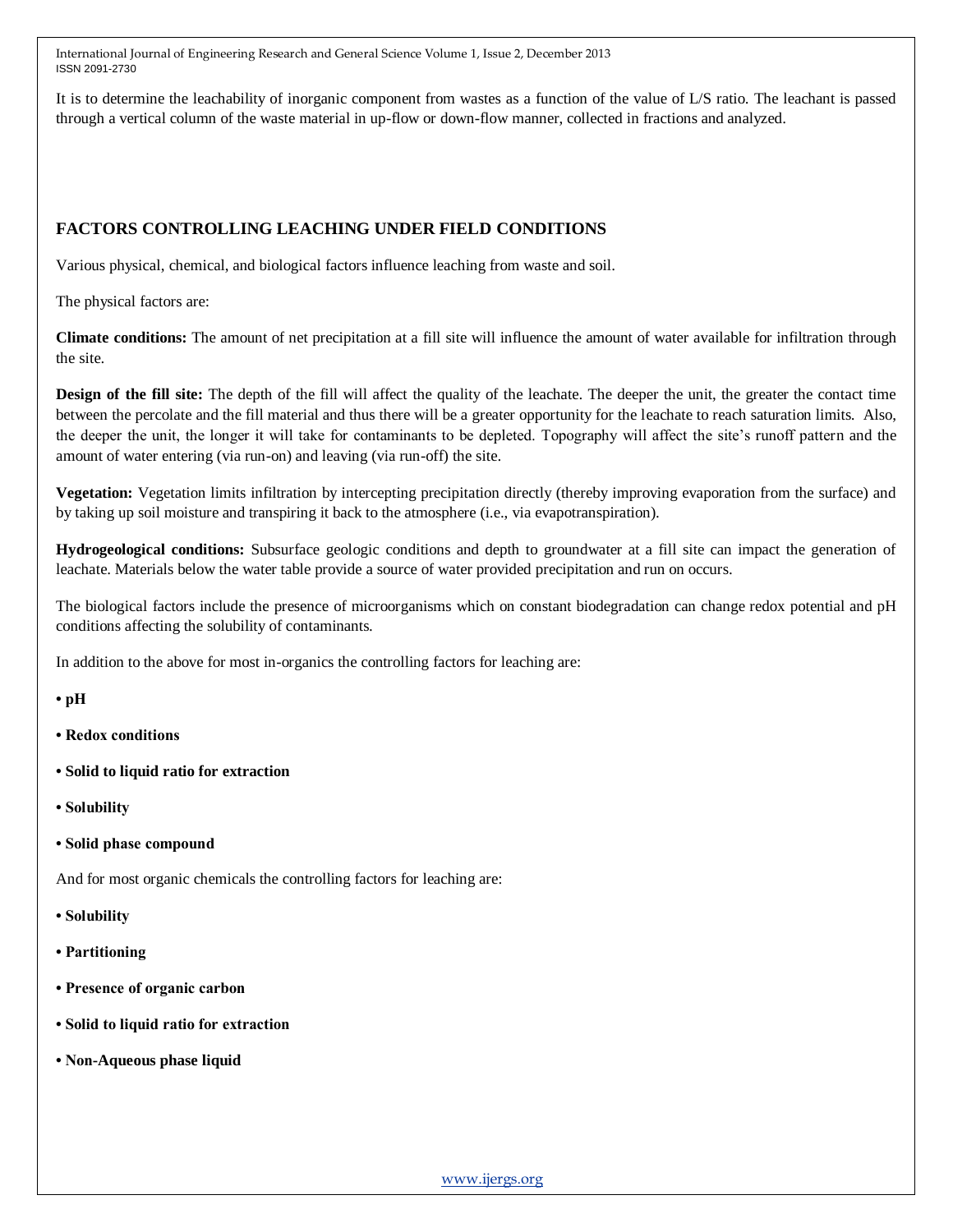It is to determine the leachability of inorganic component from wastes as a function of the value of L/S ratio. The leachant is passed through a vertical column of the waste material in up-flow or down-flow manner, collected in fractions and analyzed.

# **FACTORS CONTROLLING LEACHING UNDER FIELD CONDITIONS**

Various physical, chemical, and biological factors influence leaching from waste and soil.

The physical factors are:

**Climate conditions:** The amount of net precipitation at a fill site will influence the amount of water available for infiltration through the site.

**Design of the fill site:** The depth of the fill will affect the quality of the leachate. The deeper the unit, the greater the contact time between the percolate and the fill material and thus there will be a greater opportunity for the leachate to reach saturation limits. Also, the deeper the unit, the longer it will take for contaminants to be depleted. Topography will affect the site's runoff pattern and the amount of water entering (via run-on) and leaving (via run-off) the site.

**Vegetation:** Vegetation limits infiltration by intercepting precipitation directly (thereby improving evaporation from the surface) and by taking up soil moisture and transpiring it back to the atmosphere (i.e., via evapotranspiration).

**Hydrogeological conditions:** Subsurface geologic conditions and depth to groundwater at a fill site can impact the generation of leachate. Materials below the water table provide a source of water provided precipitation and run on occurs.

The biological factors include the presence of microorganisms which on constant biodegradation can change redox potential and pH conditions affecting the solubility of contaminants.

In addition to the above for most in-organics the controlling factors for leaching are:

**• pH**

- **Redox conditions**
- **Solid to liquid ratio for extraction**
- **Solubility**
- **Solid phase compound**

And for most organic chemicals the controlling factors for leaching are:

- **Solubility**
- **Partitioning**
- **Presence of organic carbon**
- **Solid to liquid ratio for extraction**
- **Non-Aqueous phase liquid**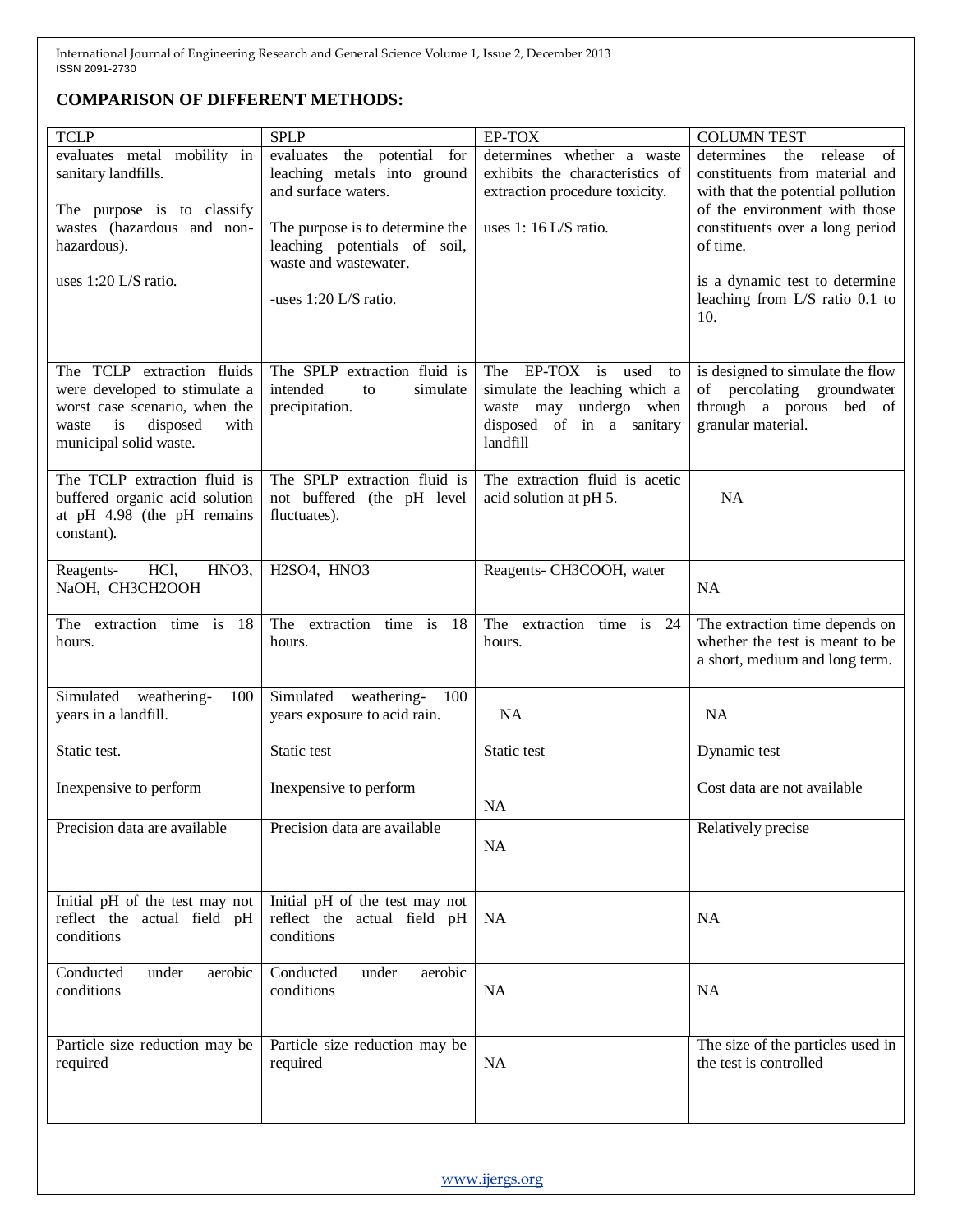# **COMPARISON OF DIFFERENT METHODS:**

| <b>TCLP</b>                                                                                                                                               | <b>SPLP</b>                                                                              | EP-TOX                                                                                                                             | <b>COLUMN TEST</b>                                                                                                                         |
|-----------------------------------------------------------------------------------------------------------------------------------------------------------|------------------------------------------------------------------------------------------|------------------------------------------------------------------------------------------------------------------------------------|--------------------------------------------------------------------------------------------------------------------------------------------|
| evaluates metal mobility in<br>sanitary landfills.<br>The purpose is to classify                                                                          | the potential for<br>evaluates<br>leaching metals into ground<br>and surface waters.     | determines whether a waste<br>exhibits the characteristics of<br>extraction procedure toxicity.                                    | determines<br>release<br>the<br>of<br>constituents from material and<br>with that the potential pollution<br>of the environment with those |
| wastes (hazardous and non-<br>hazardous).                                                                                                                 | The purpose is to determine the<br>leaching potentials of soil,<br>waste and wastewater. | uses $1:16$ L/S ratio.                                                                                                             | constituents over a long period<br>of time.                                                                                                |
| uses 1:20 L/S ratio.                                                                                                                                      | -uses 1:20 L/S ratio.                                                                    |                                                                                                                                    | is a dynamic test to determine<br>leaching from L/S ratio 0.1 to<br>10.                                                                    |
| The TCLP extraction fluids<br>were developed to stimulate a<br>worst case scenario, when the<br>disposed<br>waste<br>is<br>with<br>municipal solid waste. | The SPLP extraction fluid is<br>intended<br>simulate<br>to<br>precipitation.             | EP-TOX is<br>The<br>used<br>to<br>simulate the leaching which a<br>waste may undergo when<br>disposed of in a sanitary<br>landfill | is designed to simulate the flow<br>of percolating groundwater<br>through a porous bed of<br>granular material.                            |
| The TCLP extraction fluid is<br>buffered organic acid solution<br>at pH 4.98 (the pH remains<br>constant).                                                | The SPLP extraction fluid is<br>not buffered (the pH level<br>fluctuates).               | The extraction fluid is acetic<br>acid solution at pH 5.                                                                           | <b>NA</b>                                                                                                                                  |
| HCl,<br>HNO <sub>3</sub> ,<br>Reagents-<br>NaOH, CH3CH2OOH                                                                                                | H <sub>2</sub> SO <sub>4</sub> , H <sub>NO3</sub>                                        | Reagents- CH3COOH, water                                                                                                           | <b>NA</b>                                                                                                                                  |
| The extraction time is 18<br>hours.                                                                                                                       | The extraction time is<br>-18<br>hours.                                                  | The extraction time is 24<br>hours.                                                                                                | The extraction time depends on<br>whether the test is meant to be<br>a short, medium and long term.                                        |
| Simulated weathering-<br>100<br>years in a landfill.                                                                                                      | Simulated weathering-<br>100<br>years exposure to acid rain.                             | <b>NA</b>                                                                                                                          | <b>NA</b>                                                                                                                                  |
| Static test.                                                                                                                                              | Static test                                                                              | Static test                                                                                                                        | Dynamic test                                                                                                                               |
| Inexpensive to perform                                                                                                                                    | Inexpensive to perform                                                                   | <b>NA</b>                                                                                                                          | Cost data are not available                                                                                                                |
| Precision data are available                                                                                                                              | Precision data are available                                                             | <b>NA</b>                                                                                                                          | Relatively precise                                                                                                                         |
| Initial pH of the test may not<br>reflect the actual field pH<br>conditions                                                                               | Initial pH of the test may not<br>reflect the actual field pH<br>conditions              | <b>NA</b>                                                                                                                          | <b>NA</b>                                                                                                                                  |
| Conducted<br>aerobic<br>under<br>conditions                                                                                                               | Conducted<br>under<br>aerobic<br>conditions                                              | NA                                                                                                                                 | <b>NA</b>                                                                                                                                  |
| Particle size reduction may be<br>required                                                                                                                | Particle size reduction may be<br>required                                               | NA                                                                                                                                 | The size of the particles used in<br>the test is controlled                                                                                |